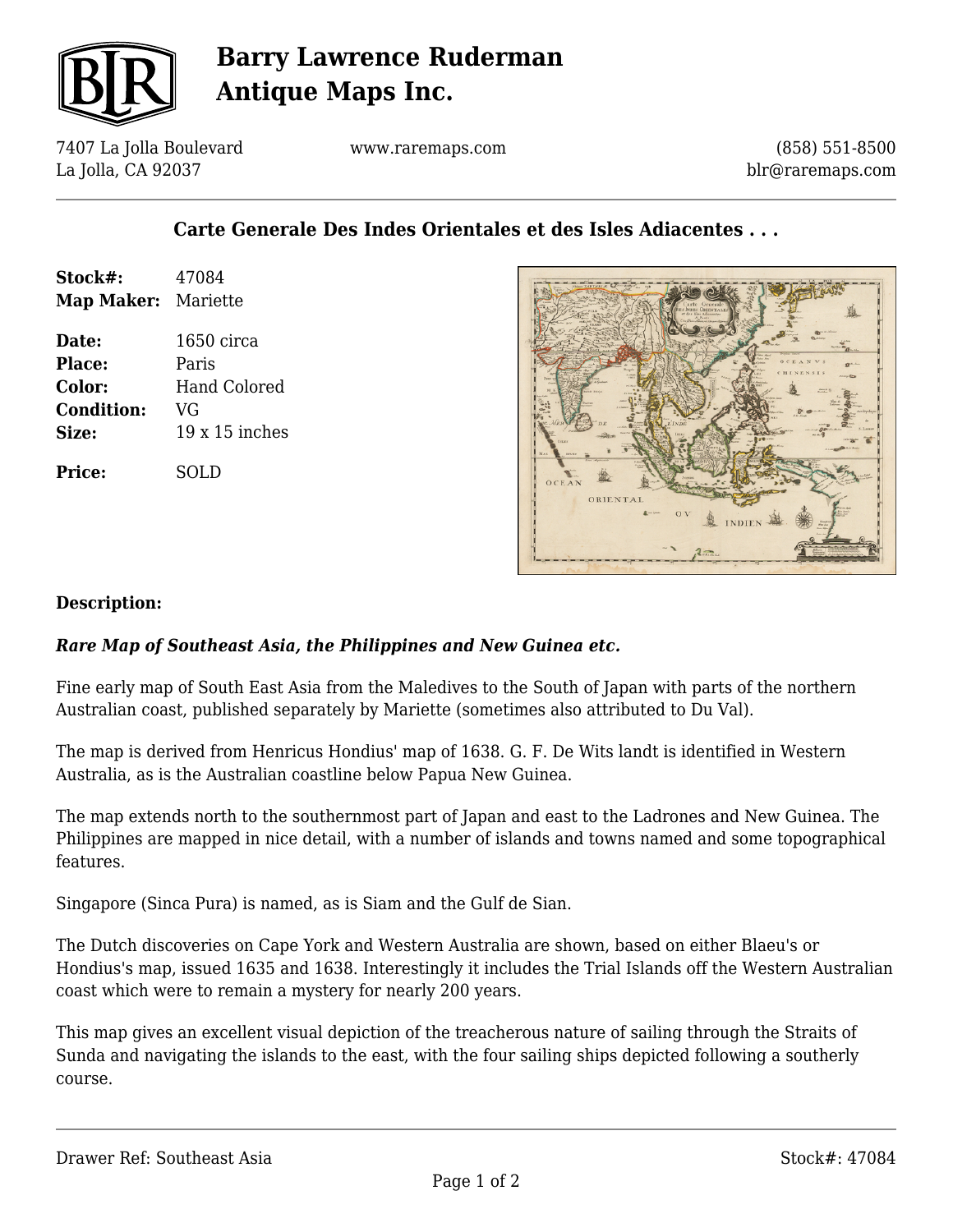

# **Barry Lawrence Ruderman Antique Maps Inc.**

7407 La Jolla Boulevard La Jolla, CA 92037

www.raremaps.com

(858) 551-8500 blr@raremaps.com

### **Carte Generale Des Indes Orientales et des Isles Adiacentes . . .**

| Stock#:<br><b>Map Maker: Mariette</b> | 47084          |
|---------------------------------------|----------------|
|                                       |                |
| Date:                                 | $1650$ circa   |
| <b>Place:</b>                         | Paris          |
| <b>Color:</b>                         | Hand Colored   |
| <b>Condition:</b>                     | VG             |
| Size:                                 | $19x15$ inches |
| Price:                                | SOL D          |



#### **Description:**

### *Rare Map of Southeast Asia, the Philippines and New Guinea etc.*

Fine early map of South East Asia from the Maledives to the South of Japan with parts of the northern Australian coast, published separately by Mariette (sometimes also attributed to Du Val).

The map is derived from Henricus Hondius' map of 1638. G. F. De Wits landt is identified in Western Australia, as is the Australian coastline below Papua New Guinea.

The map extends north to the southernmost part of Japan and east to the Ladrones and New Guinea. The Philippines are mapped in nice detail, with a number of islands and towns named and some topographical features.

Singapore (Sinca Pura) is named, as is Siam and the Gulf de Sian.

The Dutch discoveries on Cape York and Western Australia are shown, based on either Blaeu's or Hondius's map, issued 1635 and 1638. Interestingly it includes the Trial Islands off the Western Australian coast which were to remain a mystery for nearly 200 years.

This map gives an excellent visual depiction of the treacherous nature of sailing through the Straits of Sunda and navigating the islands to the east, with the four sailing ships depicted following a southerly course.